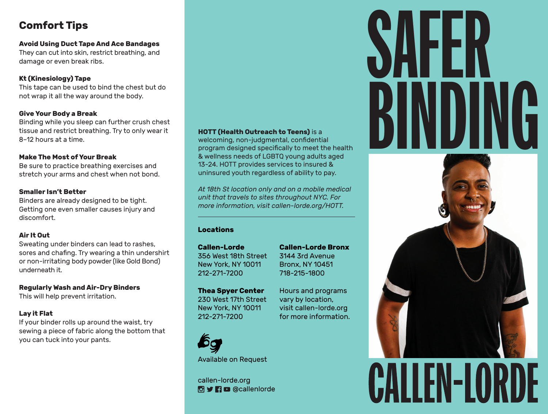# **Comfort Tips**

**Avoid Using Duct Tape And Ace Bandages** They can cut into skin, restrict breathing, and damage or even break ribs.

# **Kt (Kinesiology) Tape**

This tape can be used to bind the chest but do not wrap it all the way around the body.

## **Give Your Body a Break**

Binding while you sleep can further crush chest tissue and restrict breathing. Try to only wear it 8–12 hours at a time.

## **Make The Most of Your Break**

Be sure to practice breathing exercises and stretch your arms and chest when not bond.

## **Smaller Isn't Better**

Binders are already designed to be tight. Getting one even smaller causes injury and discomfort.

# **Air It Out**

Sweating under binders can lead to rashes, sores and chafing. Try wearing a thin undershirt or non-irritating body powder (like Gold Bond) underneath it.

**Regularly Wash and Air-Dry Binders** This will help prevent irritation.

# **Lay it Flat**

If your binder rolls up around the waist, try sewing a piece of fabric along the bottom that you can tuck into your pants.

# **HOTT (Health Outreach to Teens)** is a

welcoming, non-judgmental, confidential program designed specifically to meet the health & wellness needs of LGBTQ young adults aged 13-24. HOTT provides services to insured & uninsured youth regardless of ability to pay.

*At 18th St location only and on a mobile medical unit that travels to sites throughout NYC. For more information, visit callen-lorde.org/HOTT.*

# **Locations**

**Callen-Lorde** 356 West 18th Street New York, NY 10011 212-271-7200

**Callen-Lorde Bronx** 3144 3rd Avenue Bronx, NY 10451 718-215-1800

Hours and programs vary by location, visit callen-lorde.org for more information.

**Thea Spyer Center** 230 West 17th Street New York, NY 10011 212-271-7200



Available on Request

callen-lorde.org **O** y **n** c @callenlorde

# SAFER BINDING